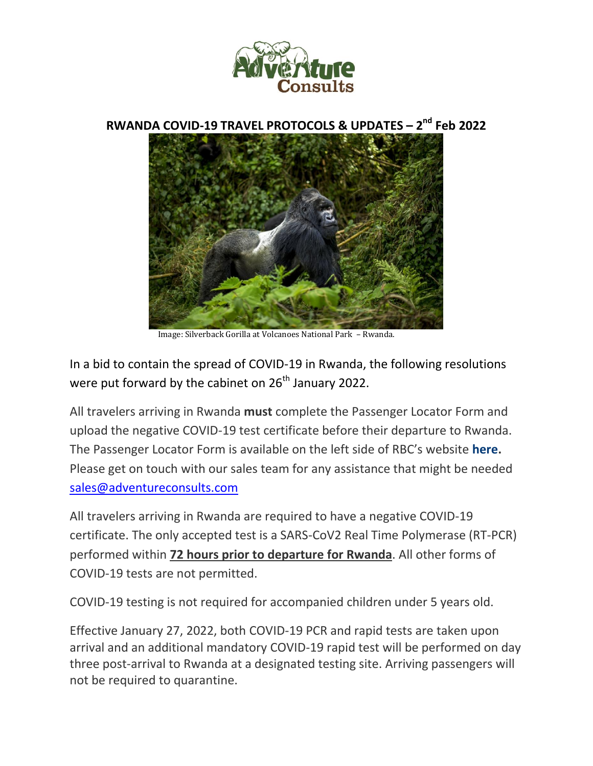

**RWANDA COVID-19 TRAVEL PROTOCOLS & UPDATES – 2 nd Feb 2022**



Image: Silverback Gorilla at Volcanoes National Park – Rwanda.

In a bid to contain the spread of COVID-19 in Rwanda, the following resolutions were put forward by the cabinet on 26<sup>th</sup> January 2022.

All travelers arriving in Rwanda **must** complete the Passenger Locator Form and upload the negative COVID-19 test certificate before their departure to Rwanda. The Passenger Locator Form is available on the left side of RBC's website **here.** Please get on touch with our sales team for any assistance that might be needed sales@adventureconsults.com

All travelers arriving in Rwanda are required to have a negative COVID-19 certificate. The only accepted test is a SARS-CoV2 Real Time Polymerase (RT-PCR) performed within **72 hours prior to departure for Rwanda**. All other forms of COVID-19 tests are not permitted.

COVID-19 testing is not required for accompanied children under 5 years old.

Effective January 27, 2022, both COVID-19 PCR and rapid tests are taken upon arrival and an additional mandatory COVID-19 rapid test will be performed on day three post-arrival to Rwanda at a designated testing site. Arriving passengers will not be required to quarantine.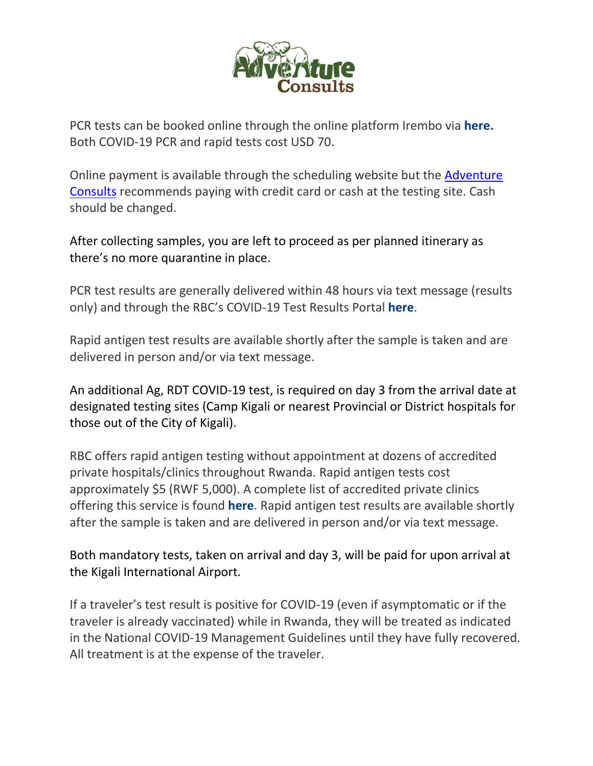

PCR tests can be booked online through the online platform Irembo via **here.** Both COVID-19 PCR and rapid tests cost USD 70.

Online payment is available through the scheduling website but the Adventure Consults recommends paying with credit card or cash at the testing site. Cash should be changed.

After collecting samples, you are left to proceed as per planned itinerary as there's no more quarantine in place.

PCR test results are generally delivered within 48 hours via text message (results only) and through the RBC's COVID-19 Test Results Portal **here**.

Rapid antigen test results are available shortly after the sample is taken and are delivered in person and/or via text message.

An additional Ag, RDT COVID-19 test, is required on day 3 from the arrival date at designated testing sites (Camp Kigali or nearest Provincial or District hospitals for those out of the City of Kigali).

RBC offers rapid antigen testing without appointment at dozens of accredited private hospitals/clinics throughout Rwanda. Rapid antigen tests cost approximately \$5 (RWF 5,000). A complete list of accredited private clinics offering this service is found **here**. Rapid antigen test results are available shortly after the sample is taken and are delivered in person and/or via text message.

Both mandatory tests, taken on arrival and day 3, will be paid for upon arrival at the Kigali International Airport.

If a traveler's test result is positive for COVID-19 (even if asymptomatic or if the traveler is already vaccinated) while in Rwanda, they will be treated as indicated in the National COVID-19 Management Guidelines until they have fully recovered. All treatment is at the expense of the traveler.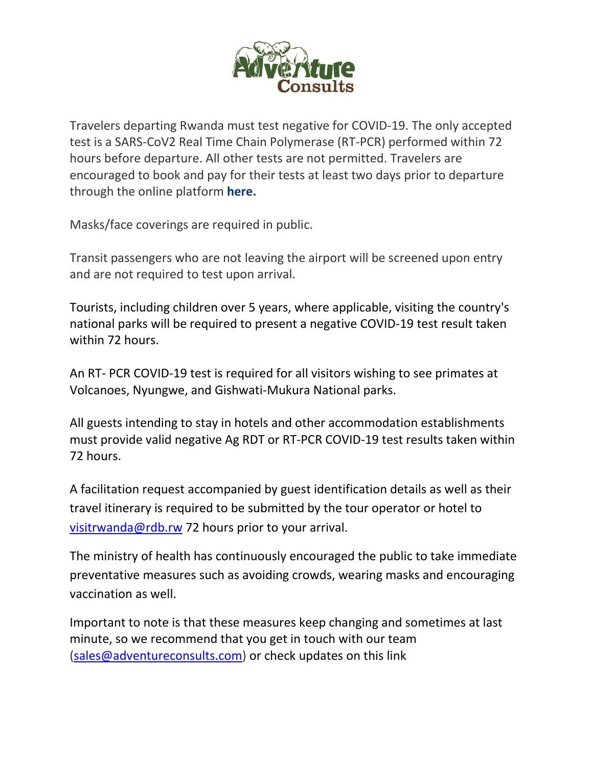

Travelers departing Rwanda must test negative for COVID-19. The only accepted test is a SARS-CoV2 Real Time Chain Polymerase (RT-PCR) performed within 72 hours before departure. All other tests are not permitted. Travelers are encouraged to book and pay for their tests at least two days prior to departure through the online platform **here.**

Masks/face coverings are required in public.

Transit passengers who are not leaving the airport will be screened upon entry and are not required to test upon arrival.

Tourists, including children over 5 years, where applicable, visiting the country's national parks will be required to present a negative COVID-19 test result taken within 72 hours.

An RT- PCR COVID-19 test is required for all visitors wishing to see primates at Volcanoes, Nyungwe, and Gishwati-Mukura National parks.

All guests intending to stay in hotels and other accommodation establishments must provide valid negative Ag RDT or RT-PCR COVID-19 test results taken within 72 hours.

A facilitation request accompanied by guest identification details as well as their travel itinerary is required to be submitted by the tour operator or hotel to visitrwanda@rdb.rw 72 hours prior to your arrival.

The ministry of health has continuously encouraged the public to take immediate preventative measures such as avoiding crowds, wearing masks and encouraging vaccination as well.

Important to note is that these measures keep changing and sometimes at last minute, so we recommend that you get in touch with our team (sales@adventureconsults.com) or check updates on this link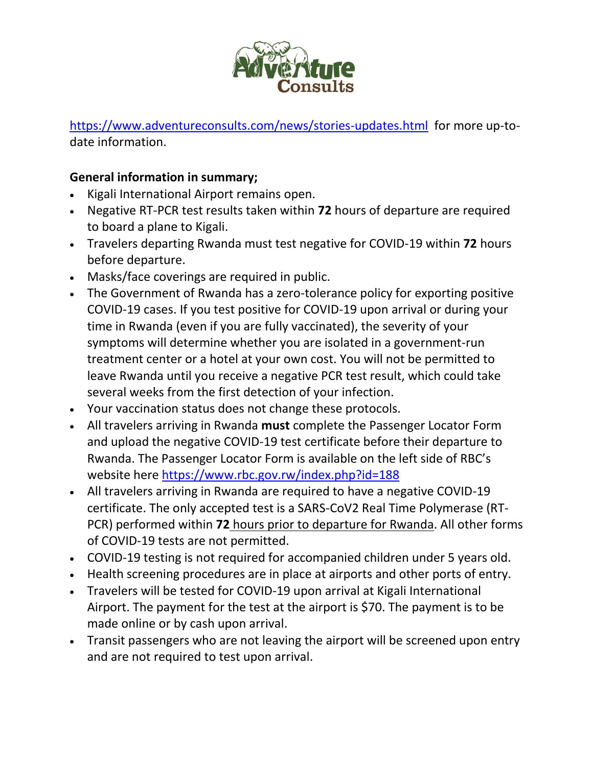

https://www.adventureconsults.com/news/stories-updates.html for more up-todate information.

## **General information in summary;**

- Kigali International Airport remains open.
- Negative RT-PCR test results taken within **72** hours of departure are required to board a plane to Kigali.
- Travelers departing Rwanda must test negative for COVID-19 within **72** hours before departure.
- Masks/face coverings are required in public.
- The Government of Rwanda has a zero-tolerance policy for exporting positive COVID-19 cases. If you test positive for COVID-19 upon arrival or during your time in Rwanda (even if you are fully vaccinated), the severity of your symptoms will determine whether you are isolated in a government-run treatment center or a hotel at your own cost. You will not be permitted to leave Rwanda until you receive a negative PCR test result, which could take several weeks from the first detection of your infection.
- Your vaccination status does not change these protocols.
- All travelers arriving in Rwanda **must** complete the Passenger Locator Form and upload the negative COVID-19 test certificate before their departure to Rwanda. The Passenger Locator Form is available on the left side of RBC's website here https://www.rbc.gov.rw/index.php?id=188
- All travelers arriving in Rwanda are required to have a negative COVID-19 certificate. The only accepted test is a SARS-CoV2 Real Time Polymerase (RT-PCR) performed within **72** hours prior to departure for Rwanda. All other forms of COVID-19 tests are not permitted.
- COVID-19 testing is not required for accompanied children under 5 years old.
- Health screening procedures are in place at airports and other ports of entry.
- Travelers will be tested for COVID-19 upon arrival at Kigali International Airport. The payment for the test at the airport is \$70. The payment is to be made online or by cash upon arrival.
- Transit passengers who are not leaving the airport will be screened upon entry and are not required to test upon arrival.